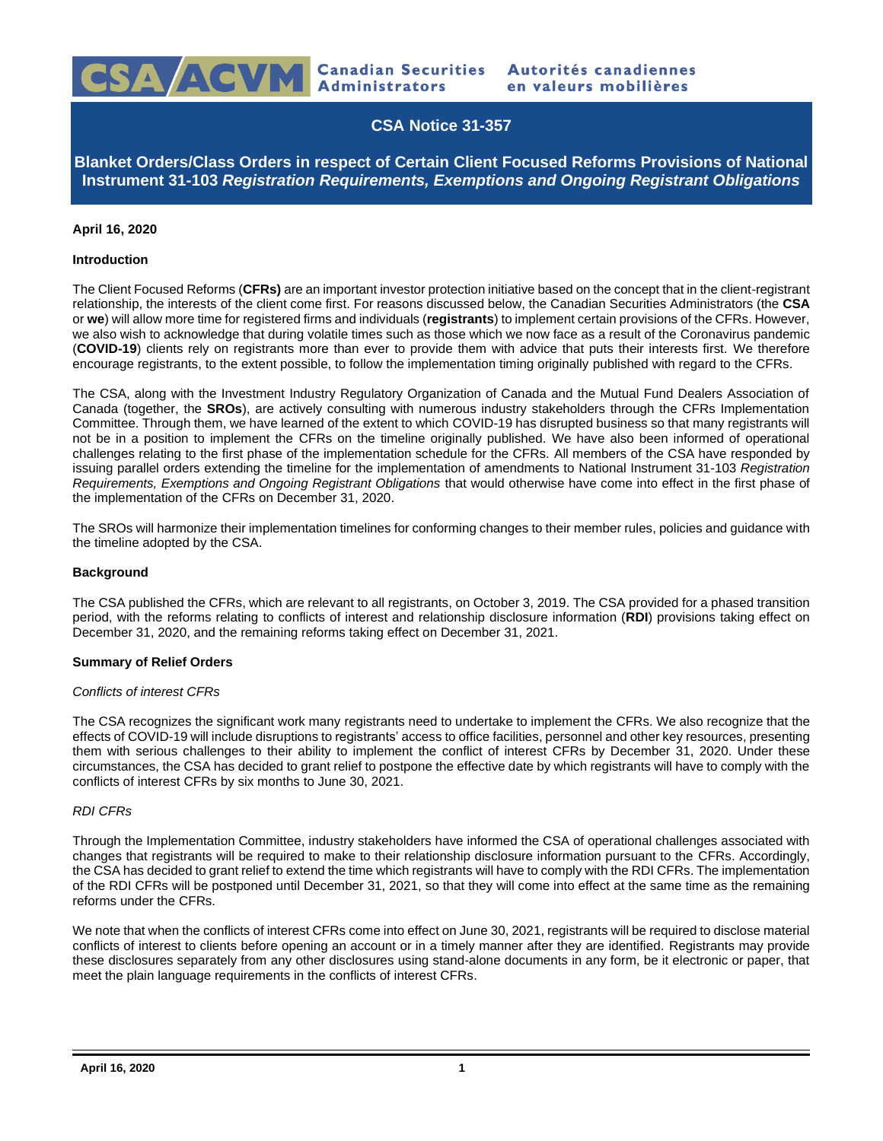

# **CSA Notice 31-357**

**Blanket Orders/Class Orders in respect of Certain Client Focused Reforms Provisions of National Instrument 31-103** *Registration Requirements, Exemptions and Ongoing Registrant Obligations*

# **April 16, 2020**

### **Introduction**

The Client Focused Reforms (**CFRs)** are an important investor protection initiative based on the concept that in the client-registrant relationship, the interests of the client come first. For reasons discussed below, the Canadian Securities Administrators (the **CSA** or **we**) will allow more time for registered firms and individuals (**registrants**) to implement certain provisions of the CFRs. However, we also wish to acknowledge that during volatile times such as those which we now face as a result of the Coronavirus pandemic (**COVID-19**) clients rely on registrants more than ever to provide them with advice that puts their interests first. We therefore encourage registrants, to the extent possible, to follow the implementation timing originally published with regard to the CFRs.

The CSA, along with the Investment Industry Regulatory Organization of Canada and the Mutual Fund Dealers Association of Canada (together, the **SROs**), are actively consulting with numerous industry stakeholders through the CFRs Implementation Committee. Through them, we have learned of the extent to which COVID-19 has disrupted business so that many registrants will not be in a position to implement the CFRs on the timeline originally published. We have also been informed of operational challenges relating to the first phase of the implementation schedule for the CFRs. All members of the CSA have responded by issuing parallel orders extending the timeline for the implementation of amendments to National Instrument 31-103 *Registration Requirements, Exemptions and Ongoing Registrant Obligations* that would otherwise have come into effect in the first phase of the implementation of the CFRs on December 31, 2020.

The SROs will harmonize their implementation timelines for conforming changes to their member rules, policies and guidance with the timeline adopted by the CSA.

### **Background**

The CSA published the CFRs, which are relevant to all registrants, on October 3, 2019. The CSA provided for a phased transition period, with the reforms relating to conflicts of interest and relationship disclosure information (**RDI**) provisions taking effect on December 31, 2020, and the remaining reforms taking effect on December 31, 2021.

### **Summary of Relief Orders**

#### *Conflicts of interest CFRs*

The CSA recognizes the significant work many registrants need to undertake to implement the CFRs. We also recognize that the effects of COVID-19 will include disruptions to registrants' access to office facilities, personnel and other key resources, presenting them with serious challenges to their ability to implement the conflict of interest CFRs by December 31, 2020. Under these circumstances, the CSA has decided to grant relief to postpone the effective date by which registrants will have to comply with the conflicts of interest CFRs by six months to June 30, 2021.

#### *RDI CFRs*

Through the Implementation Committee, industry stakeholders have informed the CSA of operational challenges associated with changes that registrants will be required to make to their relationship disclosure information pursuant to the CFRs. Accordingly, the CSA has decided to grant relief to extend the time which registrants will have to comply with the RDI CFRs. The implementation of the RDI CFRs will be postponed until December 31, 2021, so that they will come into effect at the same time as the remaining reforms under the CFRs.

We note that when the conflicts of interest CFRs come into effect on June 30, 2021, registrants will be required to disclose material conflicts of interest to clients before opening an account or in a timely manner after they are identified. Registrants may provide these disclosures separately from any other disclosures using stand-alone documents in any form, be it electronic or paper, that meet the plain language requirements in the conflicts of interest CFRs.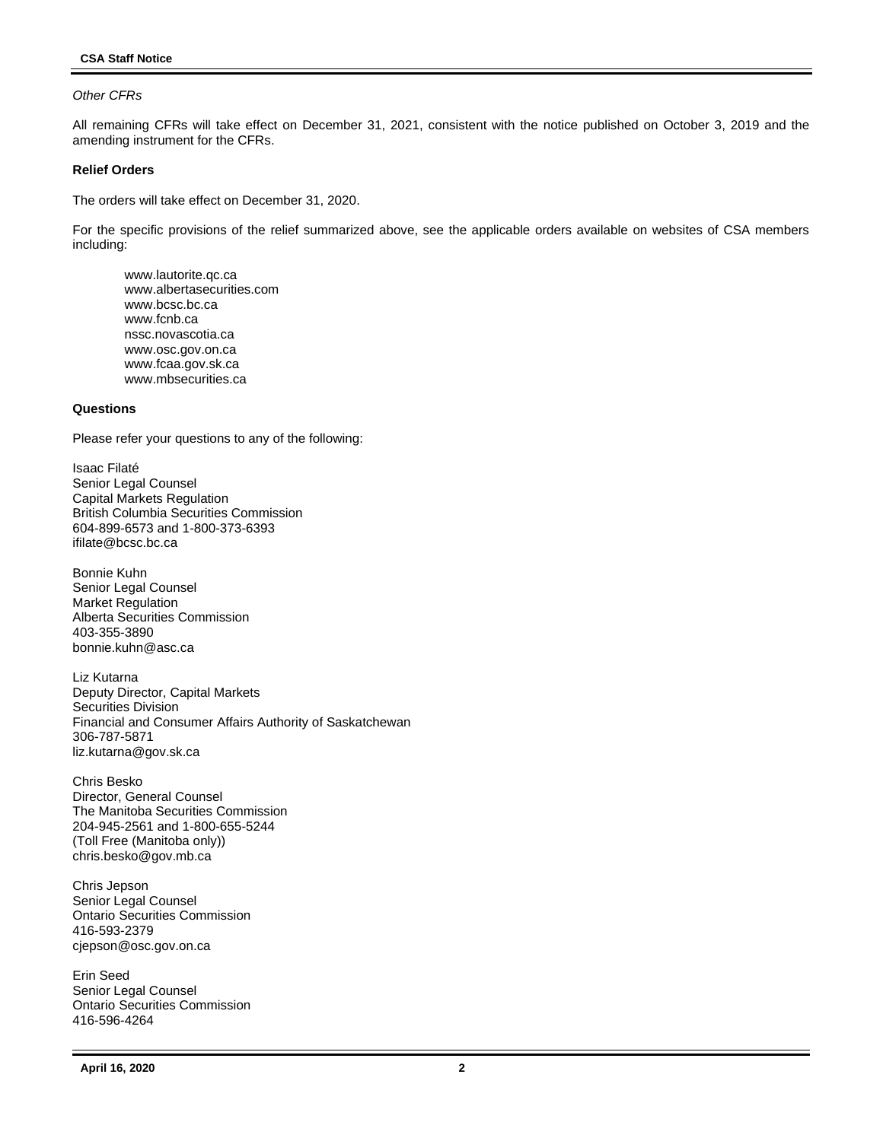# *Other CFRs*

All remaining CFRs will take effect on December 31, 2021, consistent with the notice published on October 3, 2019 and the amending instrument for the CFRs.

### **Relief Orders**

The orders will take effect on December 31, 2020.

For the specific provisions of the relief summarized above, see the applicable orders available on websites of CSA members including:

www.lautorite.qc.ca www.albertasecurities.com www.bcsc.bc.ca www.fcnb.ca nssc.novascotia.ca www.osc.gov.on.ca www.fcaa.gov.sk.ca www.mbsecurities.ca

# **Questions**

Please refer your questions to any of the following:

Isaac Filaté Senior Legal Counsel Capital Markets Regulation British Columbia Securities Commission 604-899-6573 and 1-800-373-6393 ifilate@bcsc.bc.ca

Bonnie Kuhn Senior Legal Counsel Market Regulation Alberta Securities Commission 403-355-3890 bonnie.kuhn@asc.ca

Liz Kutarna Deputy Director, Capital Markets Securities Division Financial and Consumer Affairs Authority of Saskatchewan 306-787-5871 liz.kutarna@gov.sk.ca

Chris Besko Director, General Counsel The Manitoba Securities Commission 204-945-2561 and 1-800-655-5244 (Toll Free (Manitoba only)) chris.besko@gov.mb.ca

Chris Jepson Senior Legal Counsel Ontario Securities Commission 416-593-2379 cjepson@osc.gov.on.ca

Erin Seed Senior Legal Counsel Ontario Securities Commission 416-596-4264